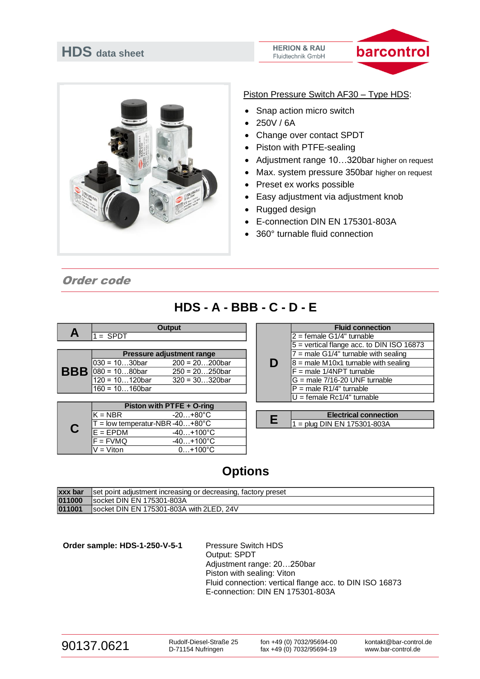# **HDS data sheet**

#### **HERION & RAU** Fluidtechnik GmbH





#### Piston Pressure Switch AF30 – Type HDS:

- Snap action micro switch
- 250V / 6A
- Change over contact SPDT
- Piston with PTFE-sealing
- Adjustment range 10…320bar higher on request
- Max. system pressure 350bar higher on request
- Preset ex works possible
- Easy adjustment via adjustment knob
- Rugged design
- E-connection DIN EN 175301-803A
- 360° turnable fluid connection

Order code

## **HDS - A - BBB - C - D - E**

|   |                             | Output            |  | <b>Fluid connection</b>                  |
|---|-----------------------------|-------------------|--|------------------------------------------|
| A | $1 =$ SPDT                  |                   |  | $12 =$ female G1/4" turnable             |
|   |                             |                   |  | $5$ = vertical flange acc. to DIN ISO 16 |
|   | Pressure adjustment range   |                   |  | $7$ = male G1/4" turnable with sealing   |
|   | l030 = 10…30bar             | $200 = 20200$ bar |  | $8$ = male M10x1 turnable with sealing   |
|   | <b>BBB</b> $080 = 1080$ bar | $250 = 20250$ bar |  | $F =$ male 1/4NPT turnable               |
|   | 120 = 10120bar              | $320 = 30320$ bar |  | IG = male 7/16-20 UNF turnable           |
|   | $160 = 10160$ bar           |                   |  | $IP = male R1/4"$ turnable               |

| Piston with PTFE + O-ring                   |  |                               |
|---------------------------------------------|--|-------------------------------|
| lK = NBR<br>$-20+80^{\circ}$ C              |  | <b>Electrical connection</b>  |
| $T =$ low temperatur-NBR-40+80 $^{\circ}$ C |  | $1 =$ plug DIN EN 175301-803A |
| $E = FPDM$<br>$-40+100^{\circ}C$            |  |                               |
| $F = FVMQ$<br>$-40+100^{\circ}C$            |  |                               |
| V = Viton<br>$0+100^{\circ}C$               |  |                               |

|   | <b>Fluid connection</b>                   |  |  |  |  |
|---|-------------------------------------------|--|--|--|--|
|   | $2 =$ female G1/4" turnable               |  |  |  |  |
|   | 5 = vertical flange acc. to DIN ISO 16873 |  |  |  |  |
|   | $7$ = male G1/4" turnable with sealing    |  |  |  |  |
| D | $8$ = male M10x1 turnable with sealing    |  |  |  |  |
|   | $F =$ male 1/4NPT turnable                |  |  |  |  |
|   | $G =$ male 7/16-20 UNF turnable           |  |  |  |  |
|   | $P =$ male R1/4" turnable                 |  |  |  |  |
|   | $U =$ female Rc1/4" turnable              |  |  |  |  |

|                              | <b>Electrical connection</b> |  |  |  |  |
|------------------------------|------------------------------|--|--|--|--|
| l1 = plua DIN EN 175301-803A |                              |  |  |  |  |

# **Options**

| xxx bar | Set point adjustment increasing or decreasing, factory preset |
|---------|---------------------------------------------------------------|
| 011000  | Isocket DIN EN 175301-803A                                    |
| 011001  | socket DIN EN 175301-803A with 2LED, 24V                      |

**Order sample: HDS-1-250-V-5-1** Pressure Switch HDS Output: SPDT Adjustment range: 20…250bar Piston with sealing: Viton Fluid connection: vertical flange acc. to DIN ISO 16873 E-connection: DIN EN 175301-803A